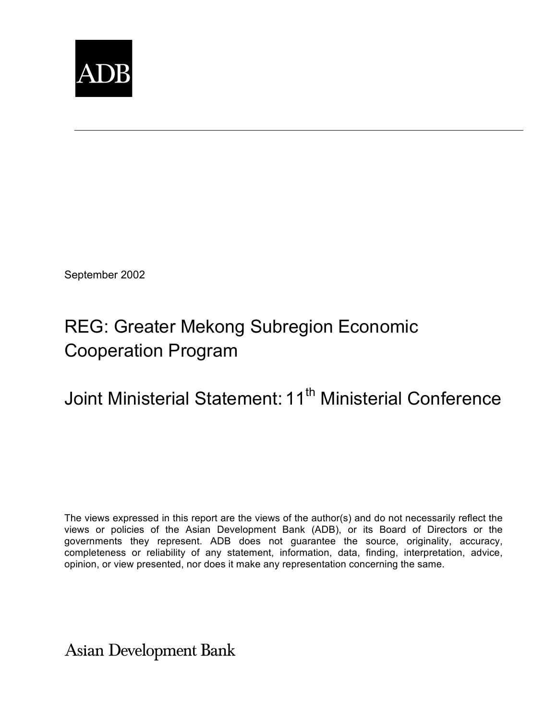

September 2002

## REG: Greater Mekong Subregion Economic Cooperation Program

# Joint Ministerial Statement: 11<sup>th</sup> Ministerial Conference

The views expressed in this report are the views of the author(s) and do not necessarily reflect the views or policies of the Asian Development Bank (ADB), or its Board of Directors or the governments they represent. ADB does not guarantee the source, originality, accuracy, completeness or reliability of any statement, information, data, finding, interpretation, advice, opinion, or view presented, nor does it make any representation concerning the same.

**Asian Development Bank**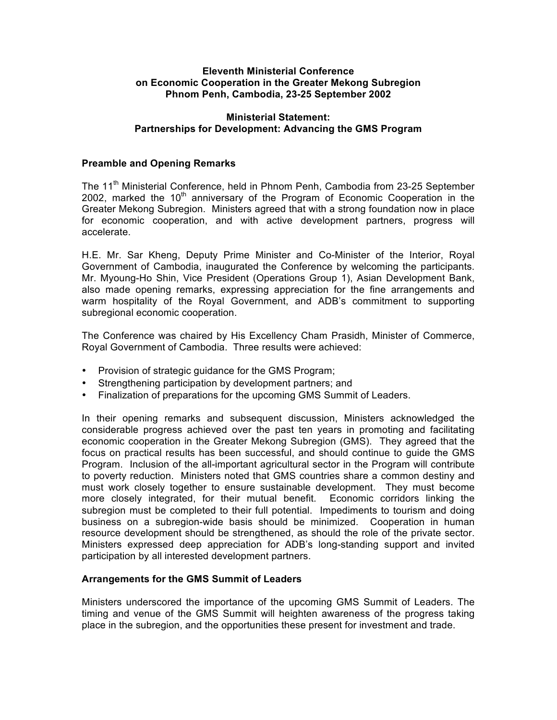#### **Eleventh Ministerial Conference on Economic Cooperation in the Greater Mekong Subregion Phnom Penh, Cambodia, 23-25 September 2002**

## **Ministerial Statement: Partnerships for Development: Advancing the GMS Program**

## **Preamble and Opening Remarks**

The 11<sup>th</sup> Ministerial Conference, held in Phnom Penh, Cambodia from 23-25 September 2002, marked the  $10<sup>th</sup>$  anniversary of the Program of Economic Cooperation in the Greater Mekong Subregion. Ministers agreed that with a strong foundation now in place for economic cooperation, and with active development partners, progress will accelerate.

H.E. Mr. Sar Kheng, Deputy Prime Minister and Co-Minister of the Interior, Royal Government of Cambodia, inaugurated the Conference by welcoming the participants. Mr. Myoung-Ho Shin, Vice President (Operations Group 1), Asian Development Bank, also made opening remarks, expressing appreciation for the fine arrangements and warm hospitality of the Royal Government, and ADB's commitment to supporting subregional economic cooperation.

The Conference was chaired by His Excellency Cham Prasidh, Minister of Commerce, Royal Government of Cambodia. Three results were achieved:

- Provision of strategic guidance for the GMS Program;
- Strengthening participation by development partners; and
- Finalization of preparations for the upcoming GMS Summit of Leaders.

In their opening remarks and subsequent discussion, Ministers acknowledged the considerable progress achieved over the past ten years in promoting and facilitating economic cooperation in the Greater Mekong Subregion (GMS). They agreed that the focus on practical results has been successful, and should continue to guide the GMS Program. Inclusion of the all-important agricultural sector in the Program will contribute to poverty reduction. Ministers noted that GMS countries share a common destiny and must work closely together to ensure sustainable development. They must become more closely integrated, for their mutual benefit. Economic corridors linking the subregion must be completed to their full potential. Impediments to tourism and doing business on a subregion-wide basis should be minimized. Cooperation in human resource development should be strengthened, as should the role of the private sector. Ministers expressed deep appreciation for ADB's long-standing support and invited participation by all interested development partners.

#### **Arrangements for the GMS Summit of Leaders**

Ministers underscored the importance of the upcoming GMS Summit of Leaders. The timing and venue of the GMS Summit will heighten awareness of the progress taking place in the subregion, and the opportunities these present for investment and trade.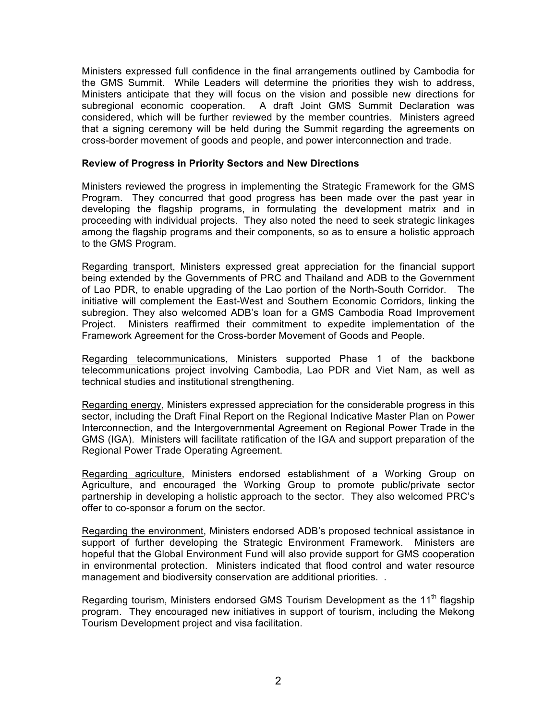Ministers expressed full confidence in the final arrangements outlined by Cambodia for the GMS Summit. While Leaders will determine the priorities they wish to address, Ministers anticipate that they will focus on the vision and possible new directions for subregional economic cooperation. A draft Joint GMS Summit Declaration was considered, which will be further reviewed by the member countries. Ministers agreed that a signing ceremony will be held during the Summit regarding the agreements on cross-border movement of goods and people, and power interconnection and trade.

#### **Review of Progress in Priority Sectors and New Directions**

Ministers reviewed the progress in implementing the Strategic Framework for the GMS Program. They concurred that good progress has been made over the past year in developing the flagship programs, in formulating the development matrix and in proceeding with individual projects. They also noted the need to seek strategic linkages among the flagship programs and their components, so as to ensure a holistic approach to the GMS Program.

Regarding transport, Ministers expressed great appreciation for the financial support being extended by the Governments of PRC and Thailand and ADB to the Government of Lao PDR, to enable upgrading of the Lao portion of the North-South Corridor. The initiative will complement the East-West and Southern Economic Corridors, linking the subregion. They also welcomed ADB's loan for a GMS Cambodia Road Improvement Project. Ministers reaffirmed their commitment to expedite implementation of the Framework Agreement for the Cross-border Movement of Goods and People.

Regarding telecommunications, Ministers supported Phase 1 of the backbone telecommunications project involving Cambodia, Lao PDR and Viet Nam, as well as technical studies and institutional strengthening.

Regarding energy, Ministers expressed appreciation for the considerable progress in this sector, including the Draft Final Report on the Regional Indicative Master Plan on Power Interconnection, and the Intergovernmental Agreement on Regional Power Trade in the GMS (IGA). Ministers will facilitate ratification of the IGA and support preparation of the Regional Power Trade Operating Agreement.

Regarding agriculture, Ministers endorsed establishment of a Working Group on Agriculture, and encouraged the Working Group to promote public/private sector partnership in developing a holistic approach to the sector. They also welcomed PRC's offer to co-sponsor a forum on the sector.

Regarding the environment, Ministers endorsed ADB's proposed technical assistance in support of further developing the Strategic Environment Framework. Ministers are hopeful that the Global Environment Fund will also provide support for GMS cooperation in environmental protection. Ministers indicated that flood control and water resource management and biodiversity conservation are additional priorities. .

Regarding tourism, Ministers endorsed GMS Tourism Development as the 11<sup>th</sup> flagship program. They encouraged new initiatives in support of tourism, including the Mekong Tourism Development project and visa facilitation.